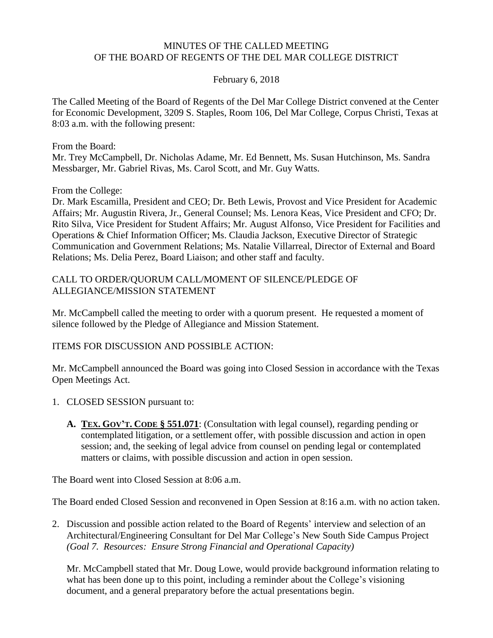#### MINUTES OF THE CALLED MEETING OF THE BOARD OF REGENTS OF THE DEL MAR COLLEGE DISTRICT

#### February 6, 2018

The Called Meeting of the Board of Regents of the Del Mar College District convened at the Center for Economic Development, 3209 S. Staples, Room 106, Del Mar College, Corpus Christi, Texas at 8:03 a.m. with the following present:

From the Board:

Mr. Trey McCampbell, Dr. Nicholas Adame, Mr. Ed Bennett, Ms. Susan Hutchinson, Ms. Sandra Messbarger, Mr. Gabriel Rivas, Ms. Carol Scott, and Mr. Guy Watts.

From the College:

Dr. Mark Escamilla, President and CEO; Dr. Beth Lewis, Provost and Vice President for Academic Affairs; Mr. Augustin Rivera, Jr., General Counsel; Ms. Lenora Keas, Vice President and CFO; Dr. Rito Silva, Vice President for Student Affairs; Mr. August Alfonso, Vice President for Facilities and Operations & Chief Information Officer; Ms. Claudia Jackson, Executive Director of Strategic Communication and Government Relations; Ms. Natalie Villarreal, Director of External and Board Relations; Ms. Delia Perez, Board Liaison; and other staff and faculty.

#### CALL TO ORDER/QUORUM CALL/MOMENT OF SILENCE/PLEDGE OF ALLEGIANCE/MISSION STATEMENT

Mr. McCampbell called the meeting to order with a quorum present. He requested a moment of silence followed by the Pledge of Allegiance and Mission Statement.

#### ITEMS FOR DISCUSSION AND POSSIBLE ACTION:

Mr. McCampbell announced the Board was going into Closed Session in accordance with the Texas Open Meetings Act.

- 1. CLOSED SESSION pursuant to:
	- **A. TEX. GOV'T. CODE § 551.071**: (Consultation with legal counsel), regarding pending or contemplated litigation, or a settlement offer, with possible discussion and action in open session; and, the seeking of legal advice from counsel on pending legal or contemplated matters or claims, with possible discussion and action in open session.

The Board went into Closed Session at 8:06 a.m.

The Board ended Closed Session and reconvened in Open Session at 8:16 a.m. with no action taken.

2. Discussion and possible action related to the Board of Regents' interview and selection of an Architectural/Engineering Consultant for Del Mar College's New South Side Campus Project *(Goal 7. Resources: Ensure Strong Financial and Operational Capacity)*

Mr. McCampbell stated that Mr. Doug Lowe, would provide background information relating to what has been done up to this point, including a reminder about the College's visioning document, and a general preparatory before the actual presentations begin.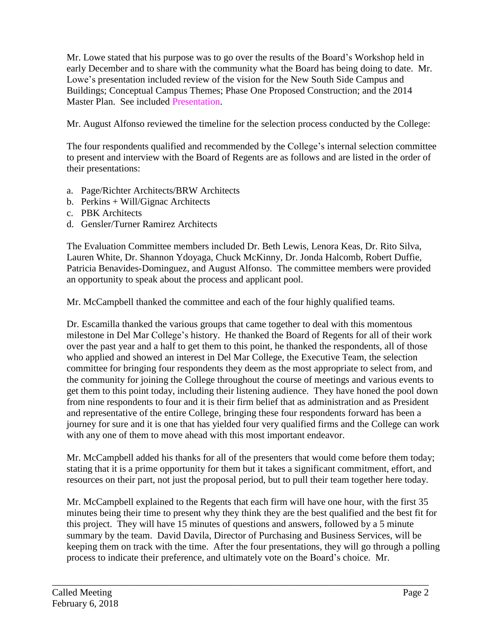Mr. Lowe stated that his purpose was to go over the results of the Board's Workshop held in early December and to share with the community what the Board has being doing to date. Mr. Lowe's presentation included review of the vision for the New South Side Campus and Buildings; Conceptual Campus Themes; Phase One Proposed Construction; and the 2014 Master Plan. See included [Presentation.](http://www.delmar.edu/WorkArea/DownloadAsset.aspx?id=2147486258)

Mr. August Alfonso reviewed the timeline for the selection process conducted by the College:

The four respondents qualified and recommended by the College's internal selection committee to present and interview with the Board of Regents are as follows and are listed in the order of their presentations:

- a. Page/Richter Architects/BRW Architects
- b. Perkins + Will/Gignac Architects
- c. PBK Architects
- d. Gensler/Turner Ramirez Architects

The Evaluation Committee members included Dr. Beth Lewis, Lenora Keas, Dr. Rito Silva, Lauren White, Dr. Shannon Ydoyaga, Chuck McKinny, Dr. Jonda Halcomb, Robert Duffie, Patricia Benavides-Dominguez, and August Alfonso. The committee members were provided an opportunity to speak about the process and applicant pool.

Mr. McCampbell thanked the committee and each of the four highly qualified teams.

Dr. Escamilla thanked the various groups that came together to deal with this momentous milestone in Del Mar College's history. He thanked the Board of Regents for all of their work over the past year and a half to get them to this point, he thanked the respondents, all of those who applied and showed an interest in Del Mar College, the Executive Team, the selection committee for bringing four respondents they deem as the most appropriate to select from, and the community for joining the College throughout the course of meetings and various events to get them to this point today, including their listening audience. They have honed the pool down from nine respondents to four and it is their firm belief that as administration and as President and representative of the entire College, bringing these four respondents forward has been a journey for sure and it is one that has yielded four very qualified firms and the College can work with any one of them to move ahead with this most important endeavor.

Mr. McCampbell added his thanks for all of the presenters that would come before them today; stating that it is a prime opportunity for them but it takes a significant commitment, effort, and resources on their part, not just the proposal period, but to pull their team together here today.

Mr. McCampbell explained to the Regents that each firm will have one hour, with the first 35 minutes being their time to present why they think they are the best qualified and the best fit for this project. They will have 15 minutes of questions and answers, followed by a 5 minute summary by the team. David Davila, Director of Purchasing and Business Services, will be keeping them on track with the time. After the four presentations, they will go through a polling process to indicate their preference, and ultimately vote on the Board's choice. Mr.

\_\_\_\_\_\_\_\_\_\_\_\_\_\_\_\_\_\_\_\_\_\_\_\_\_\_\_\_\_\_\_\_\_\_\_\_\_\_\_\_\_\_\_\_\_\_\_\_\_\_\_\_\_\_\_\_\_\_\_\_\_\_\_\_\_\_\_\_\_\_\_\_\_\_\_\_\_\_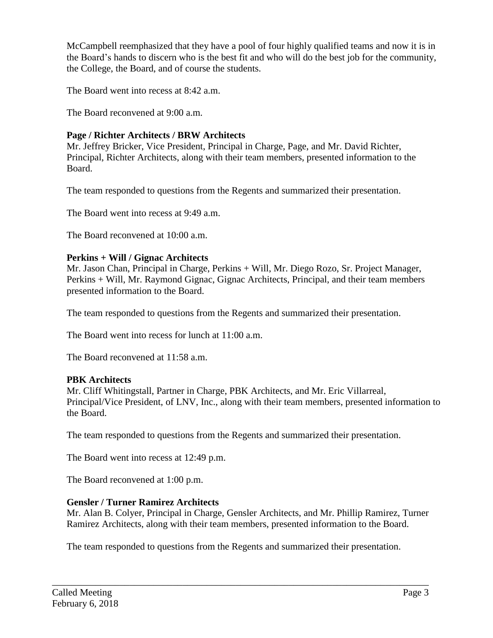McCampbell reemphasized that they have a pool of four highly qualified teams and now it is in the Board's hands to discern who is the best fit and who will do the best job for the community, the College, the Board, and of course the students.

The Board went into recess at 8:42 a.m.

The Board reconvened at 9:00 a.m.

# **Page / Richter Architects / BRW Architects**

Mr. Jeffrey Bricker, Vice President, Principal in Charge, Page, and Mr. David Richter, Principal, Richter Architects, along with their team members, presented information to the Board.

The team responded to questions from the Regents and summarized their presentation.

The Board went into recess at 9:49 a.m.

The Board reconvened at 10:00 a.m.

### **Perkins + Will / Gignac Architects**

Mr. Jason Chan, Principal in Charge, Perkins + Will, Mr. Diego Rozo, Sr. Project Manager, Perkins + Will, Mr. Raymond Gignac, Gignac Architects, Principal, and their team members presented information to the Board.

The team responded to questions from the Regents and summarized their presentation.

The Board went into recess for lunch at 11:00 a.m.

The Board reconvened at 11:58 a.m.

# **PBK Architects**

Mr. Cliff Whitingstall, Partner in Charge, PBK Architects, and Mr. Eric Villarreal, Principal/Vice President, of LNV, Inc., along with their team members, presented information to the Board.

The team responded to questions from the Regents and summarized their presentation.

The Board went into recess at 12:49 p.m.

The Board reconvened at 1:00 p.m.

# **Gensler / Turner Ramirez Architects**

Mr. Alan B. Colyer, Principal in Charge, Gensler Architects, and Mr. Phillip Ramirez, Turner Ramirez Architects, along with their team members, presented information to the Board.

The team responded to questions from the Regents and summarized their presentation.

\_\_\_\_\_\_\_\_\_\_\_\_\_\_\_\_\_\_\_\_\_\_\_\_\_\_\_\_\_\_\_\_\_\_\_\_\_\_\_\_\_\_\_\_\_\_\_\_\_\_\_\_\_\_\_\_\_\_\_\_\_\_\_\_\_\_\_\_\_\_\_\_\_\_\_\_\_\_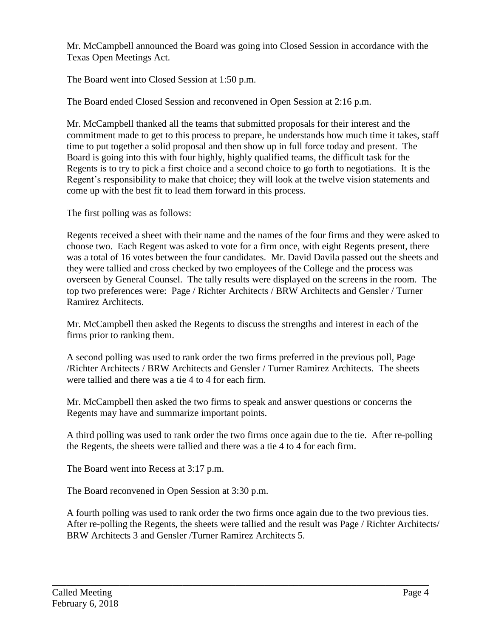Mr. McCampbell announced the Board was going into Closed Session in accordance with the Texas Open Meetings Act.

The Board went into Closed Session at 1:50 p.m.

The Board ended Closed Session and reconvened in Open Session at 2:16 p.m.

Mr. McCampbell thanked all the teams that submitted proposals for their interest and the commitment made to get to this process to prepare, he understands how much time it takes, staff time to put together a solid proposal and then show up in full force today and present. The Board is going into this with four highly, highly qualified teams, the difficult task for the Regents is to try to pick a first choice and a second choice to go forth to negotiations. It is the Regent's responsibility to make that choice; they will look at the twelve vision statements and come up with the best fit to lead them forward in this process.

The first polling was as follows:

Regents received a sheet with their name and the names of the four firms and they were asked to choose two. Each Regent was asked to vote for a firm once, with eight Regents present, there was a total of 16 votes between the four candidates. Mr. David Davila passed out the sheets and they were tallied and cross checked by two employees of the College and the process was overseen by General Counsel. The tally results were displayed on the screens in the room. The top two preferences were: Page / Richter Architects / BRW Architects and Gensler / Turner Ramirez Architects.

Mr. McCampbell then asked the Regents to discuss the strengths and interest in each of the firms prior to ranking them.

A second polling was used to rank order the two firms preferred in the previous poll, Page /Richter Architects / BRW Architects and Gensler / Turner Ramirez Architects. The sheets were tallied and there was a tie 4 to 4 for each firm.

Mr. McCampbell then asked the two firms to speak and answer questions or concerns the Regents may have and summarize important points.

A third polling was used to rank order the two firms once again due to the tie. After re-polling the Regents, the sheets were tallied and there was a tie 4 to 4 for each firm.

The Board went into Recess at 3:17 p.m.

The Board reconvened in Open Session at 3:30 p.m.

A fourth polling was used to rank order the two firms once again due to the two previous ties. After re-polling the Regents, the sheets were tallied and the result was Page / Richter Architects/ BRW Architects 3 and Gensler /Turner Ramirez Architects 5.

\_\_\_\_\_\_\_\_\_\_\_\_\_\_\_\_\_\_\_\_\_\_\_\_\_\_\_\_\_\_\_\_\_\_\_\_\_\_\_\_\_\_\_\_\_\_\_\_\_\_\_\_\_\_\_\_\_\_\_\_\_\_\_\_\_\_\_\_\_\_\_\_\_\_\_\_\_\_